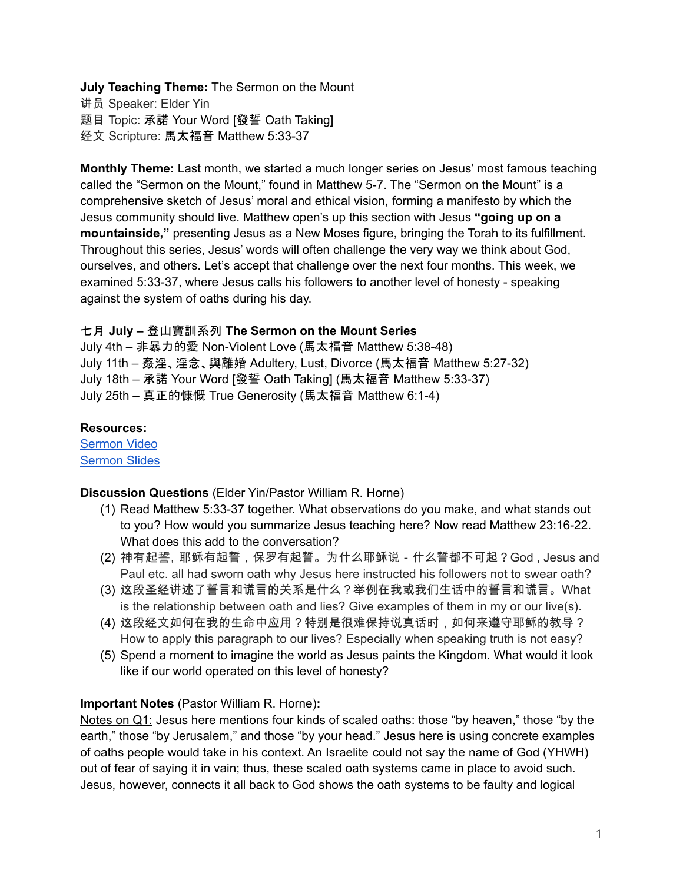# **July Teaching Theme:** The Sermon on the Mount

讲员 Speaker: Elder Yin 题目 Topic: 承諾 Your Word [發誓 Oath Taking] 经文 Scripture: 馬太福音 Matthew 5:33-37

**Monthly Theme:** Last month, we started a much longer series on Jesus' most famous teaching called the "Sermon on the Mount," found in Matthew 5-7. The "Sermon on the Mount" is a comprehensive sketch of Jesus' moral and ethical vision, forming a manifesto by which the Jesus community should live. Matthew open's up this section with Jesus **"going up on a mountainside,"** presenting Jesus as a New Moses figure, bringing the Torah to its fulfillment. Throughout this series, Jesus' words will often challenge the very way we think about God, ourselves, and others. Let's accept that challenge over the next four months. This week, we examined 5:33-37, where Jesus calls his followers to another level of honesty - speaking against the system of oaths during his day.

# 七月 **July –** 登山寶訓系列 **The Sermon on the Mount Series**

July 4th – 非暴力的愛 Non-Violent Love (馬太福音 Matthew 5:38-48) July 11th – 姦淫、淫念、與離婚 Adultery, Lust, Divorce (馬太福音 Matthew 5:27-32) July 18th – 承諾 Your Word [發誓 Oath Taking] (馬太福音 Matthew 5:33-37) July 25th – 真正的慷慨 True Generosity (馬太福音 Matthew 6:1-4)

## **Resources:**

[Sermon](https://www.youtube.com/watch?v=W1uAs2MGo0E) Video [Sermon](http://lcccky.org/CellGroup/Meetings/Speaking%20Truth.pdf) Slides

## **Discussion Questions** (Elder Yin/Pastor William R. Horne)

- (1) Read Matthew 5:33-37 together. What observations do you make, and what stands out to you? How would you summarize Jesus teaching here? Now read Matthew 23:16-22. What does this add to the conversation?
- (2) 神有起誓,耶稣有起誓,保罗有起誓。为什么耶稣说-什么誓都不可起?God , Jesus and Paul etc. all had sworn oath why Jesus here instructed his followers not to swear oath?
- (3) 这段圣经讲述了誓言和谎言的关系是什么?举例在我或我们生话中的誓言和谎言。What is the relationship between oath and lies? Give examples of them in my or our live(s).
- (4) 这段经文如何在我的生命中应用?特别是很难保持说真话时,如何来遵守耶稣的教导? How to apply this paragraph to our lives? Especially when speaking truth is not easy?
- (5) Spend a moment to imagine the world as Jesus paints the Kingdom. What would it look like if our world operated on this level of honesty?

# **Important Notes** (Pastor William R. Horne)**:**

Notes on Q1: Jesus here mentions four kinds of scaled oaths: those "by heaven," those "by the earth," those "by Jerusalem," and those "by your head." Jesus here is using concrete examples of oaths people would take in his context. An Israelite could not say the name of God (YHWH) out of fear of saying it in vain; thus, these scaled oath systems came in place to avoid such. Jesus, however, connects it all back to God shows the oath systems to be faulty and logical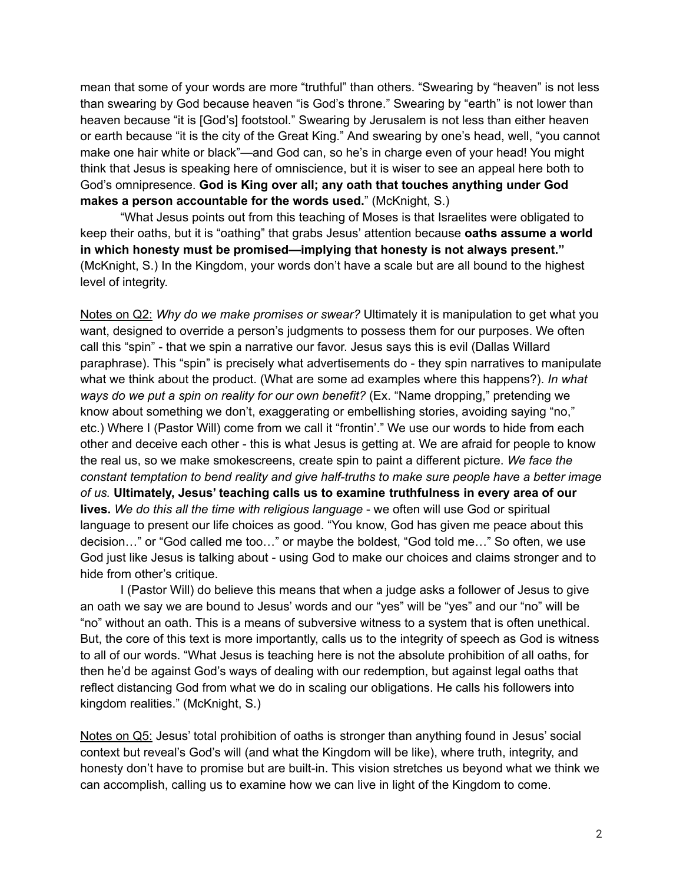mean that some of your words are more "truthful" than others. "Swearing by "heaven" is not less than swearing by God because heaven "is God's throne." Swearing by "earth" is not lower than heaven because "it is [God's] footstool." Swearing by Jerusalem is not less than either heaven or earth because "it is the city of the Great King." And swearing by one's head, well, "you cannot make one hair white or black"—and God can, so he's in charge even of your head! You might think that Jesus is speaking here of omniscience, but it is wiser to see an appeal here both to God's omnipresence. **God is King over all; any oath that touches anything under God makes a person accountable for the words used.**" (McKnight, S.)

"What Jesus points out from this teaching of Moses is that Israelites were obligated to keep their oaths, but it is "oathing" that grabs Jesus' attention because **oaths assume a world in which honesty must be promised—implying that honesty is not always present."** (McKnight, S.) In the Kingdom, your words don't have a scale but are all bound to the highest level of integrity.

Notes on Q2: *Why do we make promises or swear?* Ultimately it is manipulation to get what you want, designed to override a person's judgments to possess them for our purposes. We often call this "spin" - that we spin a narrative our favor. Jesus says this is evil (Dallas Willard paraphrase). This "spin" is precisely what advertisements do - they spin narratives to manipulate what we think about the product. (What are some ad examples where this happens?). *In what ways do we put a spin on reality for our own benefit?* (Ex. "Name dropping," pretending we know about something we don't, exaggerating or embellishing stories, avoiding saying "no," etc.) Where I (Pastor Will) come from we call it "frontin'." We use our words to hide from each other and deceive each other - this is what Jesus is getting at. We are afraid for people to know the real us, so we make smokescreens, create spin to paint a different picture. *We face the constant temptation to bend reality and give half-truths to make sure people have a better image of us.* **Ultimately, Jesus' teaching calls us to examine truthfulness in every area of our lives.** *We do this all the time with religious language* - we often will use God or spiritual language to present our life choices as good. "You know, God has given me peace about this decision…" or "God called me too…" or maybe the boldest, "God told me…" So often, we use God just like Jesus is talking about - using God to make our choices and claims stronger and to hide from other's critique.

I (Pastor Will) do believe this means that when a judge asks a follower of Jesus to give an oath we say we are bound to Jesus' words and our "yes" will be "yes" and our "no" will be "no" without an oath. This is a means of subversive witness to a system that is often unethical. But, the core of this text is more importantly, calls us to the integrity of speech as God is witness to all of our words. "What Jesus is teaching here is not the absolute prohibition of all oaths, for then he'd be against God's ways of dealing with our redemption, but against legal oaths that reflect distancing God from what we do in scaling our obligations. He calls his followers into kingdom realities." (McKnight, S.)

Notes on Q5: Jesus' total prohibition of oaths is stronger than anything found in Jesus' social context but reveal's God's will (and what the Kingdom will be like), where truth, integrity, and honesty don't have to promise but are built-in. This vision stretches us beyond what we think we can accomplish, calling us to examine how we can live in light of the Kingdom to come.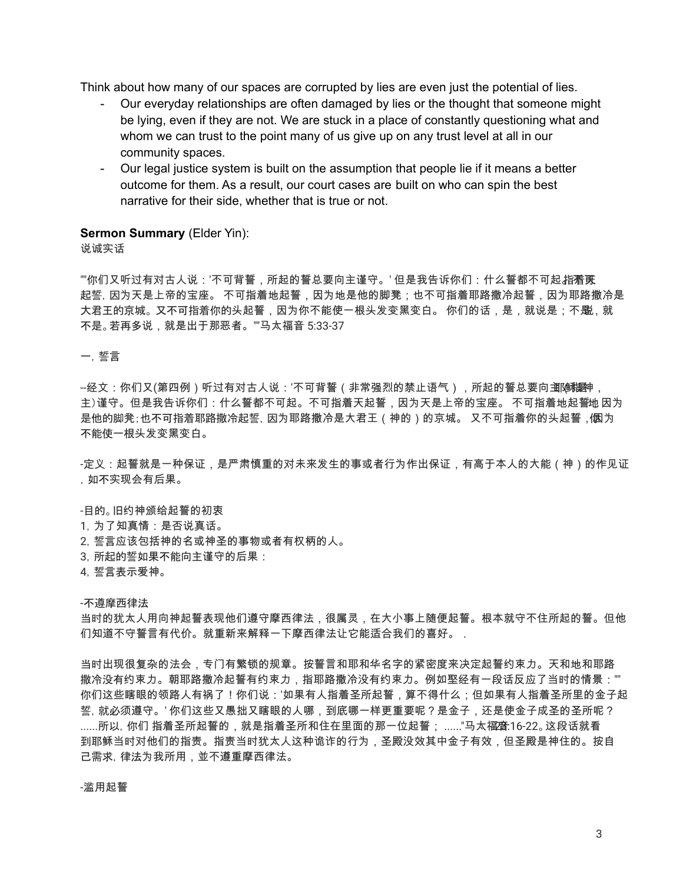Think about how many of our spaces are corrupted by lies are even just the potential of lies.

- Our everyday relationships are often damaged by lies or the thought that someone might be lying, even if they are not. We are stuck in a place of constantly questioning what and whom we can trust to the point many of us give up on any trust level at all in our community spaces.
- Our legal justice system is built on the assumption that people lie if it means a better outcome for them. As a result, our court cases are built on who can spin the best narrative for their side, whether that is true or not.

### **Sermon Summary** (Elder Yin):

说诚实话

""你们又听过有对古人说:'不可背誓,所起的誓总要向主谨守。' 但是我告诉你们:什么誓都不可起 指着黄 起誓,因为天是上帝的宝座。 不可指着地起誓,因为地是他的脚凳;也不可指着耶路撒冷起誓,因为耶路撒冷是 大君王的京城。又不可指着你的头起誓,因为你不能使一根头发变黑变白。 你们的话,是,就说是;不**影**,就 不是。若再多说,就是出于那恶者。""马太福音 5:33-37

一,誓言

--经文:你们又(第四例)听过有对古人说:'不可背誓(非常强烈的禁止语气),所起的誓总要向**茧™**(嘟翻<sub>!</sub> 主)谨守。但是我告诉你们:什么誓都不可起。不可指着天起誓,因为天是上帝的宝座。 不可指着地起誓地 因为 是他的脚凳;也不可指着耶路撒冷起誓,因为耶路撒冷是大君王(神的)的京城。 又不可指着你的头起誓, 個为 不能使一根头发变黑变白。

-定义:起誓就是一种保证,是严肃慎重的对未来发生的事或者行为作出保证,有高于本人的大能(神)的作见证 ,如不实现会有后果。

-目的。旧约神颁给起誓的初衷

- 1,为了知真情:是否说真话。
- 2,誓言应该包括神的名或神圣的事物或者有权柄的人。
- 3,所起的誓如果不能向主谨守的后果:
- 4,誓言表示爱神。

### -不遵摩西律法

当时的犹太人用向神起誓表现他们遵守摩西律法,很属灵,在大小事上随便起誓。根本就守不住所起的誓。但他 们知道不守誓言有代价。就重新来解释一下摩西律法让它能适合我们的喜好。.

当时出现很复杂的法会,专门有繁锁的规章。按誓言和耶和华名字的紧密度来决定起誓约束力。天和地和耶路 撒冷没有约束力。朝耶路撒冷起誓有约束力,指耶路撒冷没有约束力。例如埾经有一段话反应了当时的情景:"" 你们这些瞎眼的领路人有祸了!你们说:'如果有人指着圣所起誓,算不得什么;但如果有人指着圣所里的金子起 誓,就必须遵守。' 你们这些又愚拙又瞎眼的人哪,到底哪一样更重要呢?是金子,还是使金子成圣的圣所呢? ......所以, 你们 指着圣所起誓的,就是指着圣所和住在里面的那一位起誓; ......"马太福音16-22。这段话就看 到耶稣当时对他们的指责。指责当时犹太人这种诡诈的行为,圣殿没效其中金子有效,但圣殿是神住的。按自 己需求,律法为我所用,並不遵重摩西律法。

-滥用起誓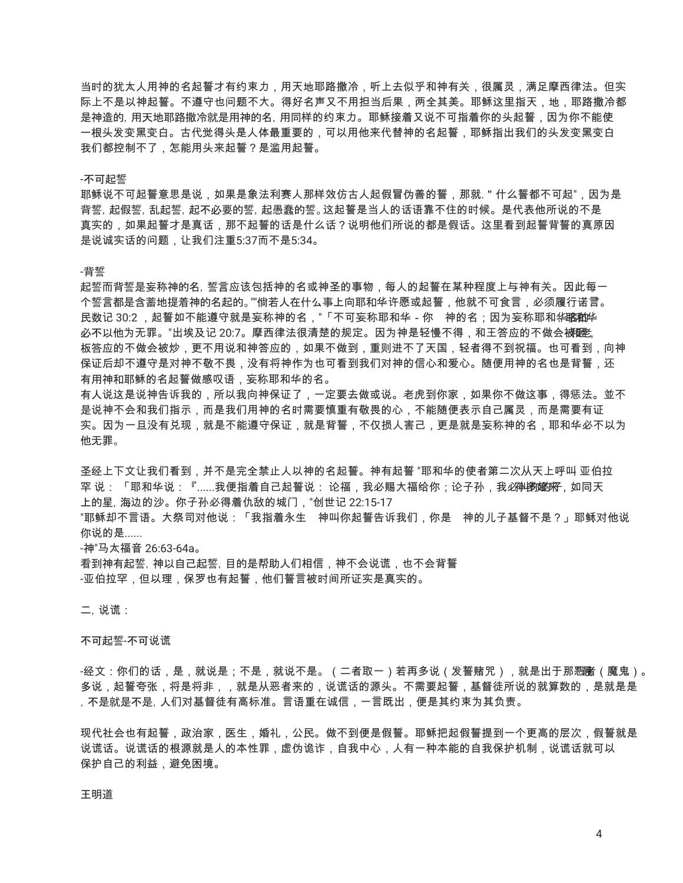当时的犹太人用神的名起誓才有约束力,用天地耶路撒冷,听上去似乎和神有关,很属灵,满足摩西律法。但实 际上不是以神起誓。不遵守也问题不大。得好名声又不用担当后果,两全其美。耶稣这里指天,地,耶路撒冷都 是神造的,用天地耶路撒冷就是用神的名,用同样的约束力。耶稣接着又说不可指着你的头起誓,因为你不能使 一根头发变黑变白。古代觉得头是人体最重要的,可以用他来代替神的名起誓,耶稣指出我们的头发变黑变白 我们都控制不了,怎能用头来起誓?是滥用起誓。

### -不可起誓

耶稣说不可起誓意思是说,如果是象法利赛人那样效仿古人起假冒伪善的誓,那就. " 什么誓都不可起",因为是 背誓,起假誓,乱起誓,起不必要的誓,起愚蠢的誓。这起誓是当人的话语靠不住的时候。是代表他所说的不是 真实的,如果起誓才是真话,那不起誓的话是什么话?说明他们所说的都是假话。这里看到起誓背誓的真原因 是说诚实话的问题,让我们注重5:37而不是5:34。

### -背誓

起誓而背誓是妄称神的名,誓言应该包括神的名或神圣的事物,每人的起誓在某种程度上与神有关。因此每一 个誓言都是含蓄地提着神的名起的。""倘若人在什么事上向耶和华许愿或起誓,他就不可食言,必须履行诺言。 民数记 30:2 ,起誓如不能遵守就是妄称神的名,"「不可妄称耶和华-你 神的名;因为妄称耶和华的的华 必不以他为无罪。"出埃及记 20:7。摩西律法很清楚的规定。因为神是轻慢不得,和王答应的不做会被**砸**。 板答应的不做会被炒,更不用说和神答应的,如果不做到,重则进不了天国,轻者得不到祝福。也可看到,向神 保证后却不遵守是对神不敬不畏,没有将神作为也可看到我们对神的信心和爱心。随便用神的名也是背誓,还 有用神和耶稣的名起誓做感叹语,妄称耶和华的名。

有人说这是说神告诉我的,所以我向神保证了,一定要去做或说。老虎到你家,如果你不做这事,得惩法。並不 是说神不会和我们指示,而是我们用神的名时需要慎重有敬畏的心,不能随便表示自己属灵,而是需要有证 实。因为一旦没有兑现,就是不能遵守保证,就是背誓,不仅损人害己,更是就是妄称神的名,耶和华必不以为 他无罪。

圣经上下文让我们看到,并不是完全禁止人以神的名起誓。神有起誓 "耶和华的使者第二次从天上呼叫 亚伯拉 罕 说: 「耶和华说:『......我便指着自己起誓说: 论福,我必赐大福给你:论子孙,我*必*孙鄕樾来,如同天 上的星,海边的沙。你子孙必得着仇敌的城门,"创世记 22:15-17 "耶稣却不言语。大祭司对他说:「我指着永生 神叫你起誓告诉我们,你是 神的儿子基督不是?」耶稣对他说

你说的是......

-神"马太福音 26:63-64a。 看到神有起誓,神以自己起誓,目的是帮助人们相信,神不会说谎,也不会背誓 -亚伯拉罕,但以理,保罗也有起誓,他们誓言被时间所证实是真实的。

二,说谎:

### 不可起誓-不可说谎

-经文:你们的话,是,就说是;不是,就说不是。(二者取一)若再多说(发誓赌咒),就是出于那**恶**的(魔鬼)。 多说,起誓夸张,将是将非,,就是从恶者来的,说谎话的源头。不需要起誓,基督徒所说的就算数的,是就是是 ,不是就是不是,人们对基督徒有高标准。言语重在诚信,一言既出,便是其约束为其负责。

现代社会也有起誓,政治家,医生,婚礼,公民。做不到便是假誓。耶稣把起假誓提到一个更高的层次,假誓就是 说谎话。说谎话的根源就是人的本性罪,虚伪诡诈,自我中心,人有一种本能的自我保护机制,说谎话就可以 保护自己的利益,避免困境。

王明道